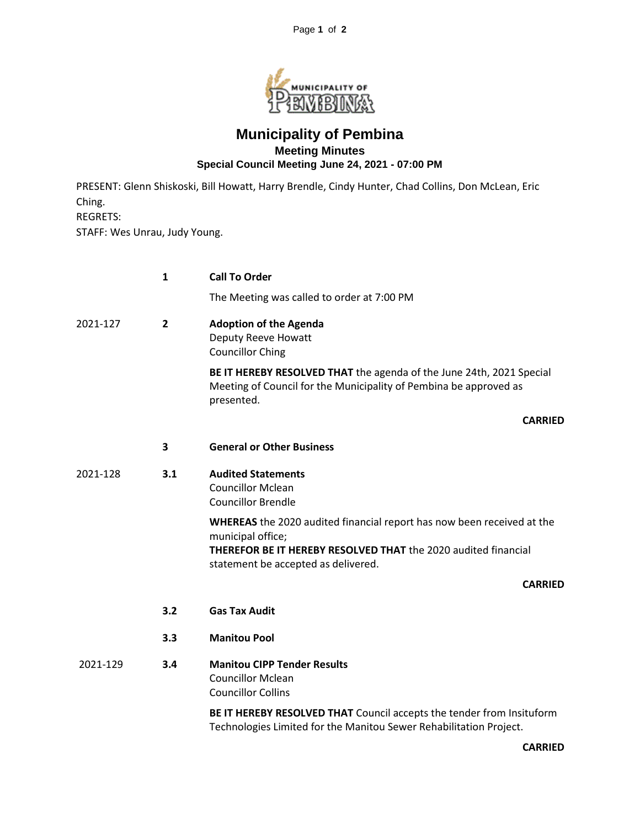

## **Municipality of Pembina Meeting Minutes Special Council Meeting June 24, 2021 - 07:00 PM**

PRESENT: Glenn Shiskoski, Bill Howatt, Harry Brendle, Cindy Hunter, Chad Collins, Don McLean, Eric Ching. REGRETS: STAFF: Wes Unrau, Judy Young.

|          | $\mathbf{1}$   | <b>Call To Order</b>                                                                                                                                                                                        |
|----------|----------------|-------------------------------------------------------------------------------------------------------------------------------------------------------------------------------------------------------------|
|          |                | The Meeting was called to order at 7:00 PM                                                                                                                                                                  |
| 2021-127 | $\overline{2}$ | <b>Adoption of the Agenda</b><br><b>Deputy Reeve Howatt</b><br><b>Councillor Ching</b>                                                                                                                      |
|          |                | BE IT HEREBY RESOLVED THAT the agenda of the June 24th, 2021 Special<br>Meeting of Council for the Municipality of Pembina be approved as<br>presented.                                                     |
|          |                | <b>CARRIED</b>                                                                                                                                                                                              |
|          | 3              | <b>General or Other Business</b>                                                                                                                                                                            |
| 2021-128 | 3.1            | <b>Audited Statements</b><br><b>Councillor Mclean</b><br><b>Councillor Brendle</b>                                                                                                                          |
|          |                | WHEREAS the 2020 audited financial report has now been received at the<br>municipal office;<br><b>THEREFOR BE IT HEREBY RESOLVED THAT the 2020 audited financial</b><br>statement be accepted as delivered. |
|          |                | <b>CARRIED</b>                                                                                                                                                                                              |
|          | 3.2            | <b>Gas Tax Audit</b>                                                                                                                                                                                        |
|          | 3.3            | <b>Manitou Pool</b>                                                                                                                                                                                         |
| 2021-129 | 3.4            | <b>Manitou CIPP Tender Results</b><br><b>Councillor Mclean</b><br><b>Councillor Collins</b>                                                                                                                 |
|          |                | BE IT HEREBY RESOLVED THAT Council accepts the tender from Insituform<br>Technologies Limited for the Manitou Sewer Rehabilitation Project.                                                                 |